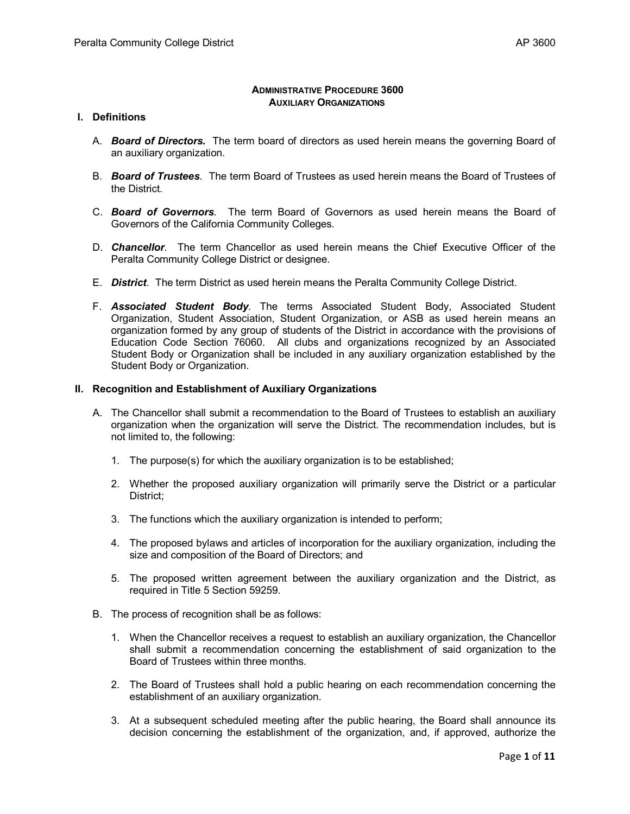#### **ADMINISTRATIVE PROCEDURE 3600 AUXILIARY ORGANIZATIONS**

#### **I. Definitions**

- A. *Board of Directors***.** The term board of directors as used herein means the governing Board of an auxiliary organization.
- B. *Board of Trustees*. The term Board of Trustees as used herein means the Board of Trustees of the District.
- C. *Board of Governors*. The term Board of Governors as used herein means the Board of Governors of the California Community Colleges.
- D. *Chancellor.* The term Chancellor as used herein means the Chief Executive Officer of the Peralta Community College District or designee.
- E. *District*. The term District as used herein means the Peralta Community College District.
- F. *Associated Student Body*. The terms Associated Student Body, Associated Student Organization, Student Association, Student Organization, or ASB as used herein means an organization formed by any group of students of the District in accordance with the provisions of Education Code Section 76060. All clubs and organizations recognized by an Associated Student Body or Organization shall be included in any auxiliary organization established by the Student Body or Organization.

#### **II. Recognition and Establishment of Auxiliary Organizations**

- A. The Chancellor shall submit a recommendation to the Board of Trustees to establish an auxiliary organization when the organization will serve the District. The recommendation includes, but is not limited to, the following:
	- 1. The purpose(s) for which the auxiliary organization is to be established;
	- 2. Whether the proposed auxiliary organization will primarily serve the District or a particular District;
	- 3. The functions which the auxiliary organization is intended to perform;
	- 4. The proposed bylaws and articles of incorporation for the auxiliary organization, including the size and composition of the Board of Directors; and
	- 5. The proposed written agreement between the auxiliary organization and the District, as required in Title 5 Section 59259.
- B. The process of recognition shall be as follows:
	- 1. When the Chancellor receives a request to establish an auxiliary organization, the Chancellor shall submit a recommendation concerning the establishment of said organization to the Board of Trustees within three months.
	- 2. The Board of Trustees shall hold a public hearing on each recommendation concerning the establishment of an auxiliary organization.
	- 3. At a subsequent scheduled meeting after the public hearing, the Board shall announce its decision concerning the establishment of the organization, and, if approved, authorize the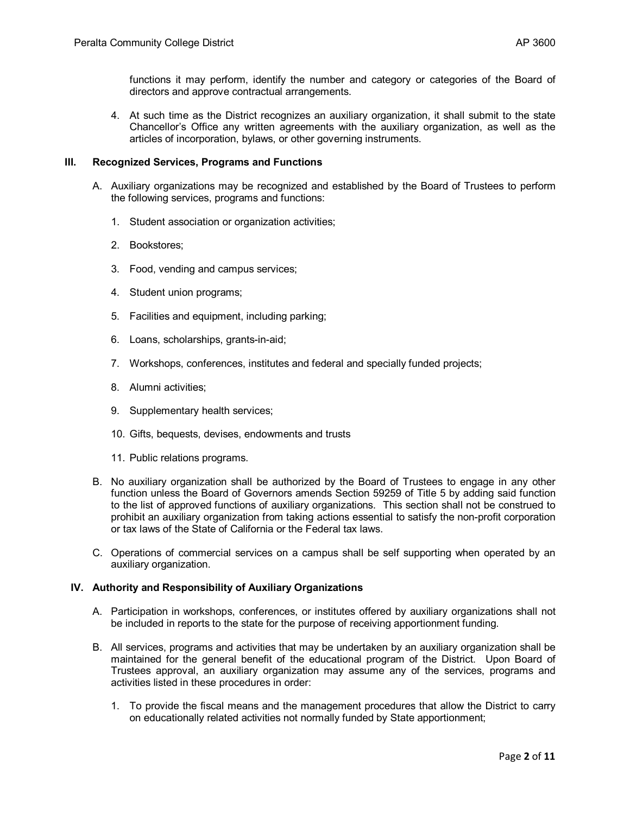functions it may perform, identify the number and category or categories of the Board of directors and approve contractual arrangements.

4. At such time as the District recognizes an auxiliary organization, it shall submit to the state Chancellor's Office any written agreements with the auxiliary organization, as well as the articles of incorporation, bylaws, or other governing instruments.

# **III. Recognized Services, Programs and Functions**

- A. Auxiliary organizations may be recognized and established by the Board of Trustees to perform the following services, programs and functions:
	- 1. Student association or organization activities;
	- 2. Bookstores;
	- 3. Food, vending and campus services;
	- 4. Student union programs;
	- 5. Facilities and equipment, including parking;
	- 6. Loans, scholarships, grants-in-aid;
	- 7. Workshops, conferences, institutes and federal and specially funded projects;
	- 8. Alumni activities;
	- 9. Supplementary health services;
	- 10. Gifts, bequests, devises, endowments and trusts
	- 11. Public relations programs.
- B. No auxiliary organization shall be authorized by the Board of Trustees to engage in any other function unless the Board of Governors amends Section 59259 of Title 5 by adding said function to the list of approved functions of auxiliary organizations. This section shall not be construed to prohibit an auxiliary organization from taking actions essential to satisfy the non-profit corporation or tax laws of the State of California or the Federal tax laws.
- C. Operations of commercial services on a campus shall be self supporting when operated by an auxiliary organization.

### **IV. Authority and Responsibility of Auxiliary Organizations**

- A. Participation in workshops, conferences, or institutes offered by auxiliary organizations shall not be included in reports to the state for the purpose of receiving apportionment funding.
- B. All services, programs and activities that may be undertaken by an auxiliary organization shall be maintained for the general benefit of the educational program of the District. Upon Board of Trustees approval, an auxiliary organization may assume any of the services, programs and activities listed in these procedures in order:
	- 1. To provide the fiscal means and the management procedures that allow the District to carry on educationally related activities not normally funded by State apportionment;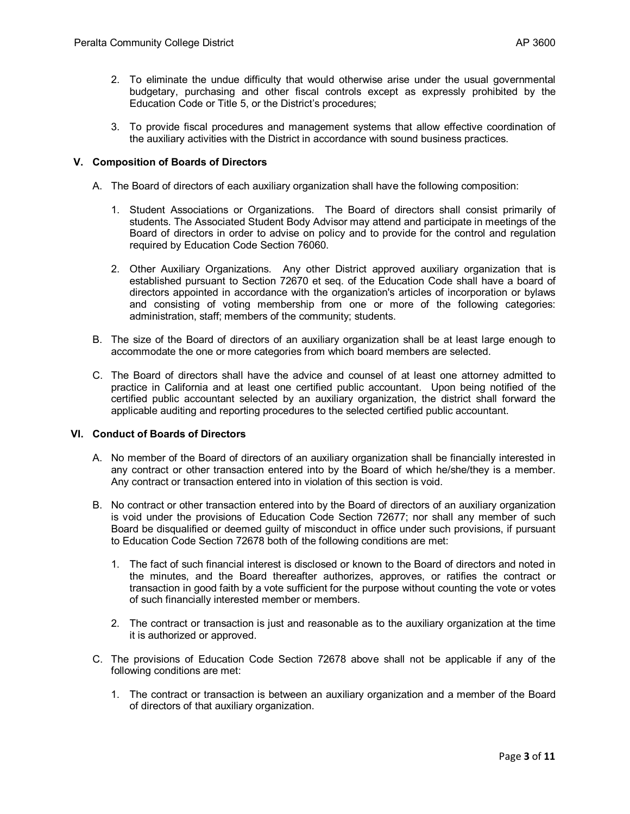- 2. To eliminate the undue difficulty that would otherwise arise under the usual governmental budgetary, purchasing and other fiscal controls except as expressly prohibited by the Education Code or Title 5, or the District's procedures;
- 3. To provide fiscal procedures and management systems that allow effective coordination of the auxiliary activities with the District in accordance with sound business practices.

# **V. Composition of Boards of Directors**

- A. The Board of directors of each auxiliary organization shall have the following composition:
	- 1. Student Associations or Organizations. The Board of directors shall consist primarily of students. The Associated Student Body Advisor may attend and participate in meetings of the Board of directors in order to advise on policy and to provide for the control and regulation required by Education Code Section 76060.
	- 2. Other Auxiliary Organizations. Any other District approved auxiliary organization that is established pursuant to Section 72670 et seq. of the Education Code shall have a board of directors appointed in accordance with the organization's articles of incorporation or bylaws and consisting of voting membership from one or more of the following categories: administration, staff; members of the community; students.
- B. The size of the Board of directors of an auxiliary organization shall be at least large enough to accommodate the one or more categories from which board members are selected.
- C. The Board of directors shall have the advice and counsel of at least one attorney admitted to practice in California and at least one certified public accountant. Upon being notified of the certified public accountant selected by an auxiliary organization, the district shall forward the applicable auditing and reporting procedures to the selected certified public accountant.

### **VI. Conduct of Boards of Directors**

- A. No member of the Board of directors of an auxiliary organization shall be financially interested in any contract or other transaction entered into by the Board of which he/she/they is a member. Any contract or transaction entered into in violation of this section is void.
- B. No contract or other transaction entered into by the Board of directors of an auxiliary organization is void under the provisions of Education Code Section 72677; nor shall any member of such Board be disqualified or deemed guilty of misconduct in office under such provisions, if pursuant to Education Code Section 72678 both of the following conditions are met:
	- 1. The fact of such financial interest is disclosed or known to the Board of directors and noted in the minutes, and the Board thereafter authorizes, approves, or ratifies the contract or transaction in good faith by a vote sufficient for the purpose without counting the vote or votes of such financially interested member or members.
	- 2. The contract or transaction is just and reasonable as to the auxiliary organization at the time it is authorized or approved.
- C. The provisions of Education Code Section 72678 above shall not be applicable if any of the following conditions are met:
	- 1. The contract or transaction is between an auxiliary organization and a member of the Board of directors of that auxiliary organization.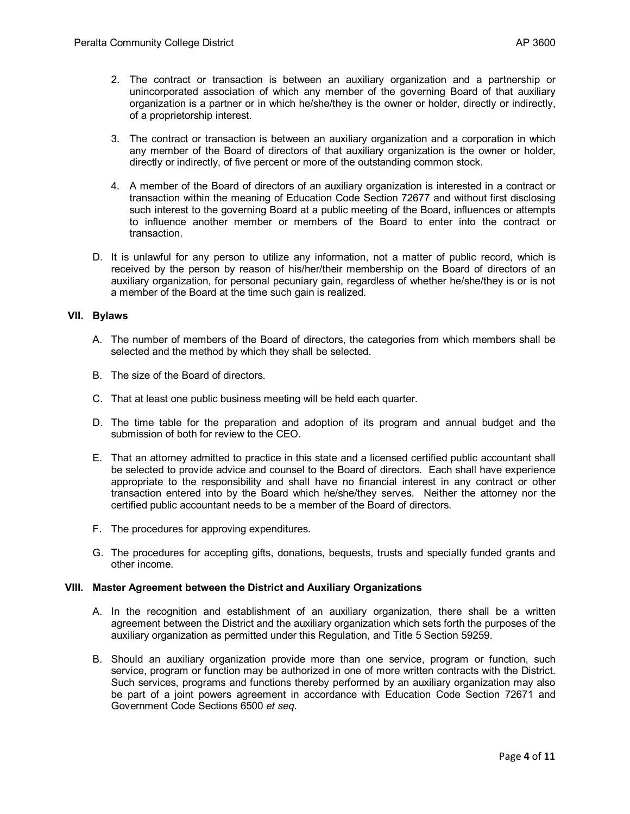- 2. The contract or transaction is between an auxiliary organization and a partnership or unincorporated association of which any member of the governing Board of that auxiliary organization is a partner or in which he/she/they is the owner or holder, directly or indirectly, of a proprietorship interest.
- 3. The contract or transaction is between an auxiliary organization and a corporation in which any member of the Board of directors of that auxiliary organization is the owner or holder, directly or indirectly, of five percent or more of the outstanding common stock.
- 4. A member of the Board of directors of an auxiliary organization is interested in a contract or transaction within the meaning of Education Code Section 72677 and without first disclosing such interest to the governing Board at a public meeting of the Board, influences or attempts to influence another member or members of the Board to enter into the contract or transaction.
- D. It is unlawful for any person to utilize any information, not a matter of public record, which is received by the person by reason of his/her/their membership on the Board of directors of an auxiliary organization, for personal pecuniary gain, regardless of whether he/she/they is or is not a member of the Board at the time such gain is realized.

### **VII. Bylaws**

- A. The number of members of the Board of directors, the categories from which members shall be selected and the method by which they shall be selected.
- B. The size of the Board of directors.
- C. That at least one public business meeting will be held each quarter.
- D. The time table for the preparation and adoption of its program and annual budget and the submission of both for review to the CEO*.*
- E. That an attorney admitted to practice in this state and a licensed certified public accountant shall be selected to provide advice and counsel to the Board of directors. Each shall have experience appropriate to the responsibility and shall have no financial interest in any contract or other transaction entered into by the Board which he/she/they serves. Neither the attorney nor the certified public accountant needs to be a member of the Board of directors.
- F. The procedures for approving expenditures.
- G. The procedures for accepting gifts, donations, bequests, trusts and specially funded grants and other income.

### **VIII. Master Agreement between the District and Auxiliary Organizations**

- A. In the recognition and establishment of an auxiliary organization, there shall be a written agreement between the District and the auxiliary organization which sets forth the purposes of the auxiliary organization as permitted under this Regulation, and Title 5 Section 59259.
- B. Should an auxiliary organization provide more than one service, program or function, such service, program or function may be authorized in one of more written contracts with the District. Such services, programs and functions thereby performed by an auxiliary organization may also be part of a joint powers agreement in accordance with Education Code Section 72671 and Government Code Sections 6500 *et seq.*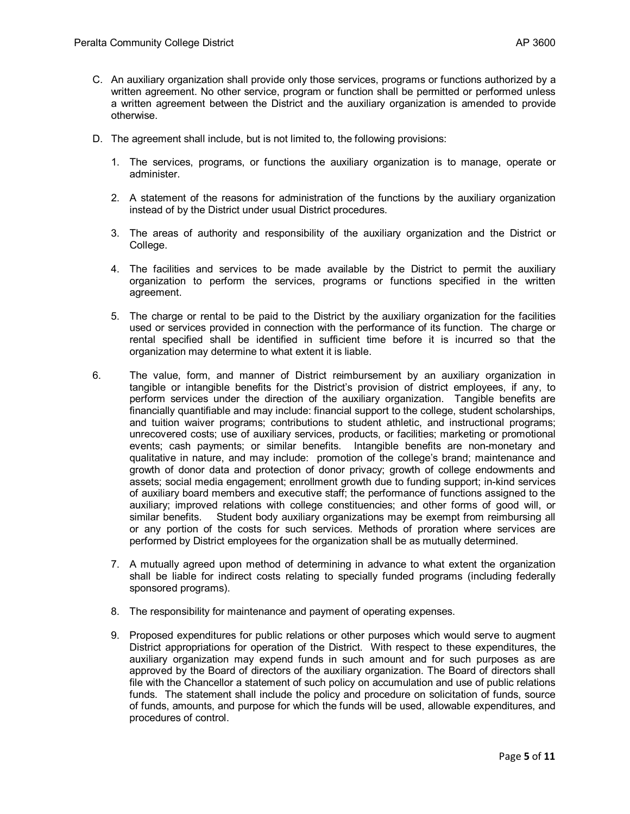- C. An auxiliary organization shall provide only those services, programs or functions authorized by a written agreement. No other service, program or function shall be permitted or performed unless a written agreement between the District and the auxiliary organization is amended to provide otherwise.
- D. The agreement shall include, but is not limited to, the following provisions:
	- 1. The services, programs, or functions the auxiliary organization is to manage, operate or administer.
	- 2. A statement of the reasons for administration of the functions by the auxiliary organization instead of by the District under usual District procedures.
	- 3. The areas of authority and responsibility of the auxiliary organization and the District or College.
	- 4. The facilities and services to be made available by the District to permit the auxiliary organization to perform the services, programs or functions specified in the written agreement.
	- 5. The charge or rental to be paid to the District by the auxiliary organization for the facilities used or services provided in connection with the performance of its function. The charge or rental specified shall be identified in sufficient time before it is incurred so that the organization may determine to what extent it is liable.
- 6. The value, form, and manner of District reimbursement by an auxiliary organization in tangible or intangible benefits for the District's provision of district employees, if any, to perform services under the direction of the auxiliary organization. Tangible benefits are financially quantifiable and may include: financial support to the college, student scholarships, and tuition waiver programs; contributions to student athletic, and instructional programs; unrecovered costs; use of auxiliary services, products, or facilities; marketing or promotional events; cash payments; or similar benefits. Intangible benefits are non-monetary and qualitative in nature, and may include: promotion of the college's brand; maintenance and growth of donor data and protection of donor privacy; growth of college endowments and assets; social media engagement; enrollment growth due to funding support; in-kind services of auxiliary board members and executive staff; the performance of functions assigned to the auxiliary; improved relations with college constituencies; and other forms of good will, or similar benefits. Student body auxiliary organizations may be exempt from reimbursing all or any portion of the costs for such services. Methods of proration where services are performed by District employees for the organization shall be as mutually determined.
	- 7. A mutually agreed upon method of determining in advance to what extent the organization shall be liable for indirect costs relating to specially funded programs (including federally sponsored programs).
	- 8. The responsibility for maintenance and payment of operating expenses.
	- 9. Proposed expenditures for public relations or other purposes which would serve to augment District appropriations for operation of the District. With respect to these expenditures, the auxiliary organization may expend funds in such amount and for such purposes as are approved by the Board of directors of the auxiliary organization. The Board of directors shall file with the Chancellor a statement of such policy on accumulation and use of public relations funds. The statement shall include the policy and procedure on solicitation of funds, source of funds, amounts, and purpose for which the funds will be used, allowable expenditures, and procedures of control.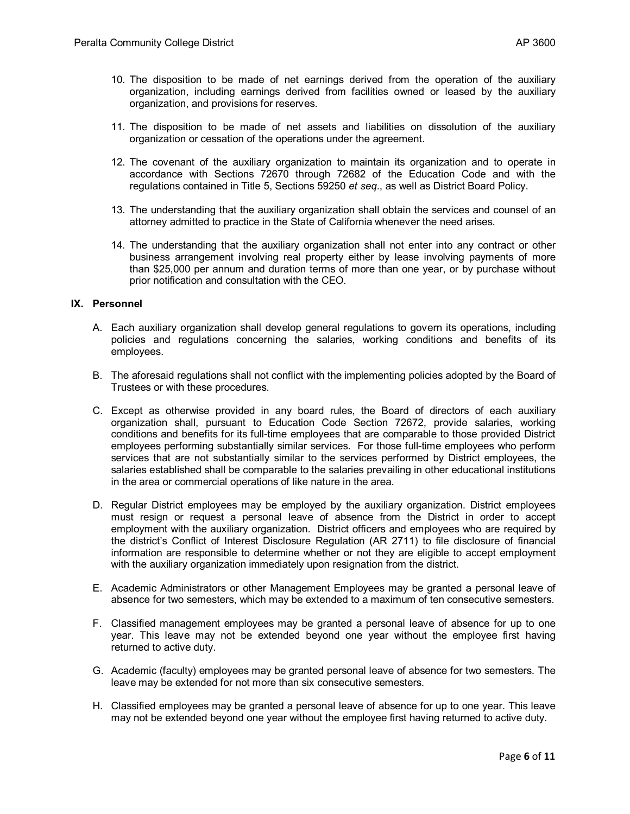- 10. The disposition to be made of net earnings derived from the operation of the auxiliary organization, including earnings derived from facilities owned or leased by the auxiliary organization, and provisions for reserves.
- 11. The disposition to be made of net assets and liabilities on dissolution of the auxiliary organization or cessation of the operations under the agreement.
- 12. The covenant of the auxiliary organization to maintain its organization and to operate in accordance with Sections 72670 through 72682 of the Education Code and with the regulations contained in Title 5, Sections 59250 *et seq*., as well as District Board Policy.
- 13. The understanding that the auxiliary organization shall obtain the services and counsel of an attorney admitted to practice in the State of California whenever the need arises.
- 14. The understanding that the auxiliary organization shall not enter into any contract or other business arrangement involving real property either by lease involving payments of more than \$25,000 per annum and duration terms of more than one year, or by purchase without prior notification and consultation with the CEO*.*

### **IX. Personnel**

- A. Each auxiliary organization shall develop general regulations to govern its operations, including policies and regulations concerning the salaries, working conditions and benefits of its employees.
- B. The aforesaid regulations shall not conflict with the implementing policies adopted by the Board of Trustees or with these procedures.
- C. Except as otherwise provided in any board rules, the Board of directors of each auxiliary organization shall, pursuant to Education Code Section 72672, provide salaries, working conditions and benefits for its full-time employees that are comparable to those provided District employees performing substantially similar services. For those full-time employees who perform services that are not substantially similar to the services performed by District employees, the salaries established shall be comparable to the salaries prevailing in other educational institutions in the area or commercial operations of like nature in the area.
- D. Regular District employees may be employed by the auxiliary organization. District employees must resign or request a personal leave of absence from the District in order to accept employment with the auxiliary organization. District officers and employees who are required by the district's Conflict of Interest Disclosure Regulation (AR 2711) to file disclosure of financial information are responsible to determine whether or not they are eligible to accept employment with the auxiliary organization immediately upon resignation from the district.
- E. Academic Administrators or other Management Employees may be granted a personal leave of absence for two semesters, which may be extended to a maximum of ten consecutive semesters.
- F. Classified management employees may be granted a personal leave of absence for up to one year. This leave may not be extended beyond one year without the employee first having returned to active duty.
- G. Academic (faculty) employees may be granted personal leave of absence for two semesters. The leave may be extended for not more than six consecutive semesters.
- H. Classified employees may be granted a personal leave of absence for up to one year. This leave may not be extended beyond one year without the employee first having returned to active duty.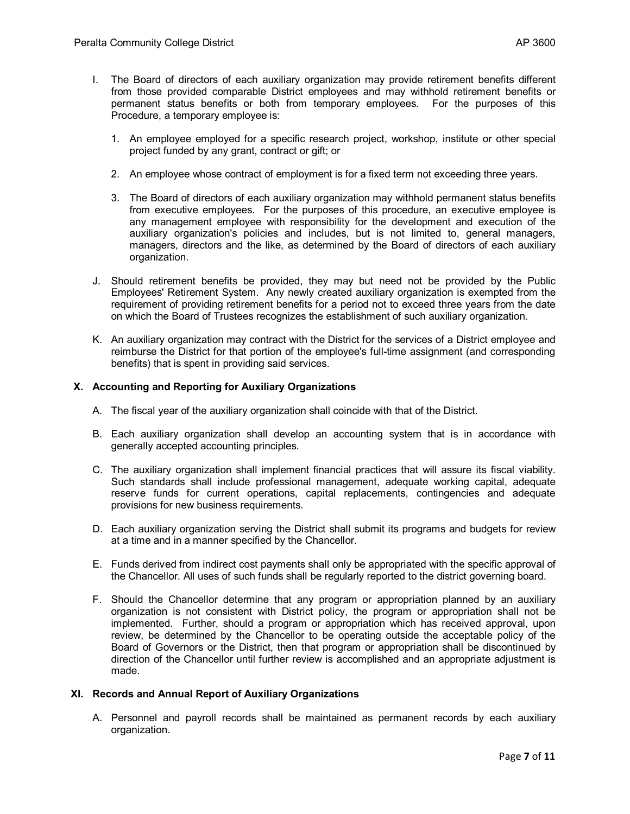- I. The Board of directors of each auxiliary organization may provide retirement benefits different from those provided comparable District employees and may withhold retirement benefits or permanent status benefits or both from temporary employees. For the purposes of this Procedure, a temporary employee is:
	- 1. An employee employed for a specific research project, workshop, institute or other special project funded by any grant, contract or gift; or
	- 2. An employee whose contract of employment is for a fixed term not exceeding three years.
	- 3. The Board of directors of each auxiliary organization may withhold permanent status benefits from executive employees. For the purposes of this procedure, an executive employee is any management employee with responsibility for the development and execution of the auxiliary organization's policies and includes, but is not limited to, general managers, managers, directors and the like, as determined by the Board of directors of each auxiliary organization.
- J. Should retirement benefits be provided, they may but need not be provided by the Public Employees' Retirement System. Any newly created auxiliary organization is exempted from the requirement of providing retirement benefits for a period not to exceed three years from the date on which the Board of Trustees recognizes the establishment of such auxiliary organization.
- K. An auxiliary organization may contract with the District for the services of a District employee and reimburse the District for that portion of the employee's full-time assignment (and corresponding benefits) that is spent in providing said services.

# **X. Accounting and Reporting for Auxiliary Organizations**

- A. The fiscal year of the auxiliary organization shall coincide with that of the District.
- B. Each auxiliary organization shall develop an accounting system that is in accordance with generally accepted accounting principles.
- C. The auxiliary organization shall implement financial practices that will assure its fiscal viability. Such standards shall include professional management, adequate working capital, adequate reserve funds for current operations, capital replacements, contingencies and adequate provisions for new business requirements.
- D. Each auxiliary organization serving the District shall submit its programs and budgets for review at a time and in a manner specified by the Chancellor*.*
- E. Funds derived from indirect cost payments shall only be appropriated with the specific approval of the Chancellor. All uses of such funds shall be regularly reported to the district governing board.
- F. Should the Chancellor determine that any program or appropriation planned by an auxiliary organization is not consistent with District policy, the program or appropriation shall not be implemented. Further, should a program or appropriation which has received approval, upon review, be determined by the Chancellor to be operating outside the acceptable policy of the Board of Governors or the District, then that program or appropriation shall be discontinued by direction of the Chancellor until further review is accomplished and an appropriate adjustment is made.

### **XI. Records and Annual Report of Auxiliary Organizations**

A. Personnel and payroll records shall be maintained as permanent records by each auxiliary organization.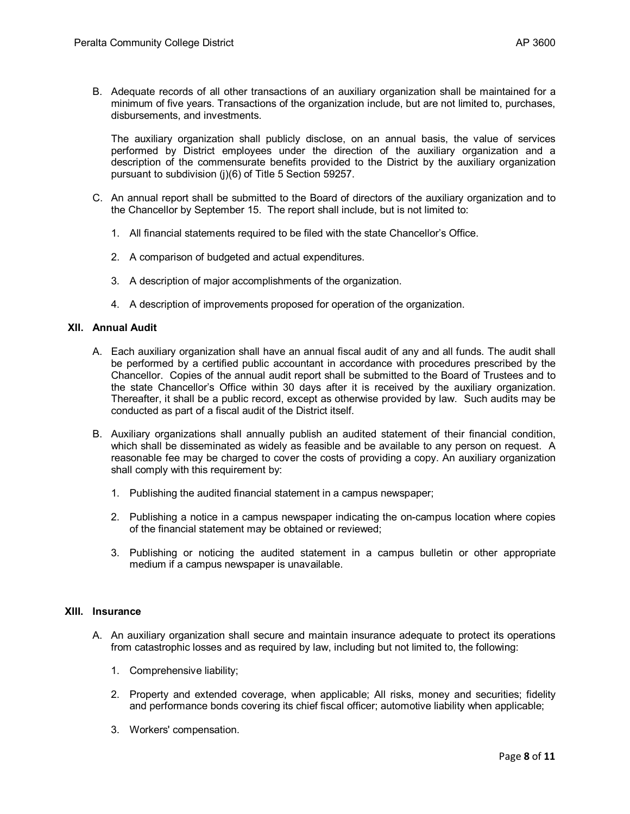B. Adequate records of all other transactions of an auxiliary organization shall be maintained for a minimum of five years. Transactions of the organization include, but are not limited to, purchases, disbursements, and investments.

The auxiliary organization shall publicly disclose, on an annual basis, the value of services performed by District employees under the direction of the auxiliary organization and a description of the commensurate benefits provided to the District by the auxiliary organization pursuant to subdivision (j)(6) of Title 5 Section 59257.

- C. An annual report shall be submitted to the Board of directors of the auxiliary organization and to the Chancellor by September 15. The report shall include, but is not limited to:
	- 1. All financial statements required to be filed with the state Chancellor's Office.
	- 2. A comparison of budgeted and actual expenditures.
	- 3. A description of major accomplishments of the organization.
	- 4. A description of improvements proposed for operation of the organization.

### **XII. Annual Audit**

- A. Each auxiliary organization shall have an annual fiscal audit of any and all funds. The audit shall be performed by a certified public accountant in accordance with procedures prescribed by the Chancellor.Copies of the annual audit report shall be submitted to the Board of Trustees and to the state Chancellor's Office within 30 days after it is received by the auxiliary organization. Thereafter, it shall be a public record, except as otherwise provided by law. Such audits may be conducted as part of a fiscal audit of the District itself.
- B. Auxiliary organizations shall annually publish an audited statement of their financial condition, which shall be disseminated as widely as feasible and be available to any person on request. A reasonable fee may be charged to cover the costs of providing a copy. An auxiliary organization shall comply with this requirement by:
	- 1. Publishing the audited financial statement in a campus newspaper;
	- 2. Publishing a notice in a campus newspaper indicating the on-campus location where copies of the financial statement may be obtained or reviewed;
	- 3. Publishing or noticing the audited statement in a campus bulletin or other appropriate medium if a campus newspaper is unavailable.

### **XIII. Insurance**

- A. An auxiliary organization shall secure and maintain insurance adequate to protect its operations from catastrophic losses and as required by law, including but not limited to, the following:
	- 1. Comprehensive liability;
	- 2. Property and extended coverage, when applicable; All risks, money and securities; fidelity and performance bonds covering its chief fiscal officer; automotive liability when applicable;
	- 3. Workers' compensation.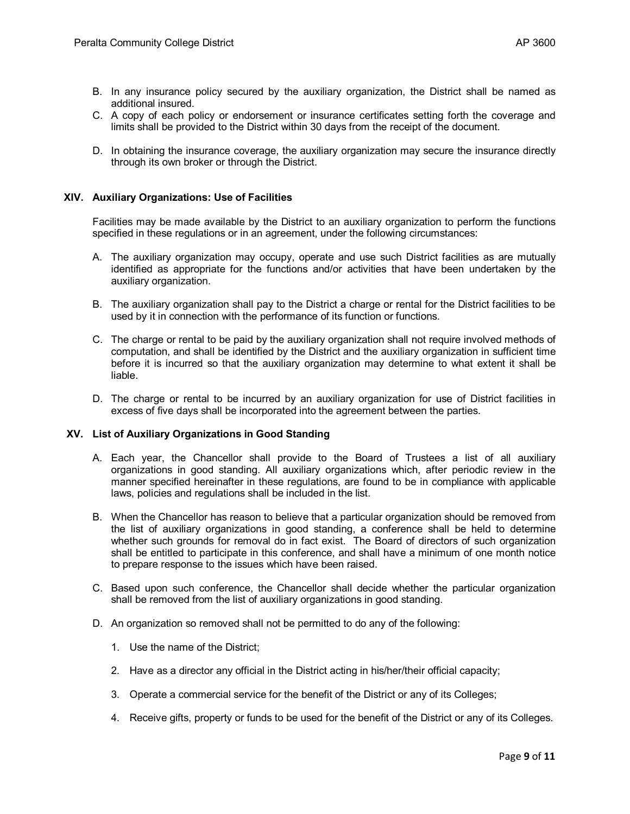- B. In any insurance policy secured by the auxiliary organization, the District shall be named as additional insured.
- C. A copy of each policy or endorsement or insurance certificates setting forth the coverage and limits shall be provided to the District within 30 days from the receipt of the document.
- D. In obtaining the insurance coverage, the auxiliary organization may secure the insurance directly through its own broker or through the District.

### **XIV. Auxiliary Organizations: Use of Facilities**

Facilities may be made available by the District to an auxiliary organization to perform the functions specified in these regulations or in an agreement, under the following circumstances:

- A. The auxiliary organization may occupy, operate and use such District facilities as are mutually identified as appropriate for the functions and/or activities that have been undertaken by the auxiliary organization.
- B. The auxiliary organization shall pay to the District a charge or rental for the District facilities to be used by it in connection with the performance of its function or functions.
- C. The charge or rental to be paid by the auxiliary organization shall not require involved methods of computation, and shall be identified by the District and the auxiliary organization in sufficient time before it is incurred so that the auxiliary organization may determine to what extent it shall be liable.
- D. The charge or rental to be incurred by an auxiliary organization for use of District facilities in excess of five days shall be incorporated into the agreement between the parties.

### **XV. List of Auxiliary Organizations in Good Standing**

- A. Each year, the Chancellor shall provide to the Board of Trustees a list of all auxiliary organizations in good standing. All auxiliary organizations which, after periodic review in the manner specified hereinafter in these regulations, are found to be in compliance with applicable laws, policies and regulations shall be included in the list.
- B. When the Chancellor has reason to believe that a particular organization should be removed from the list of auxiliary organizations in good standing, a conference shall be held to determine whether such grounds for removal do in fact exist. The Board of directors of such organization shall be entitled to participate in this conference, and shall have a minimum of one month notice to prepare response to the issues which have been raised.
- C. Based upon such conference, the Chancellor shall decide whether the particular organization shall be removed from the list of auxiliary organizations in good standing.
- D. An organization so removed shall not be permitted to do any of the following:
	- 1. Use the name of the District;
	- 2. Have as a director any official in the District acting in his/her/their official capacity;
	- 3. Operate a commercial service for the benefit of the District or any of its Colleges;
	- 4. Receive gifts, property or funds to be used for the benefit of the District or any of its Colleges.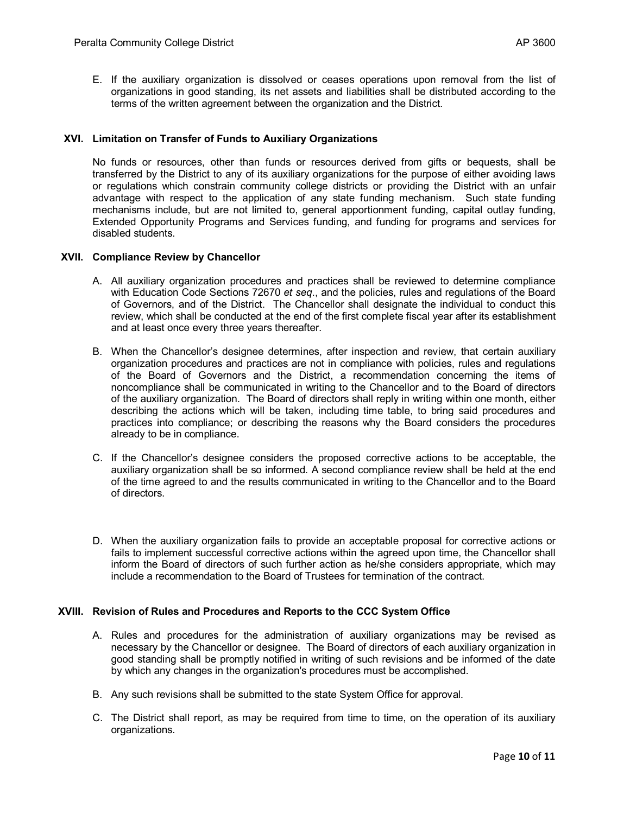E. If the auxiliary organization is dissolved or ceases operations upon removal from the list of organizations in good standing, its net assets and liabilities shall be distributed according to the terms of the written agreement between the organization and the District.

### **XVI. Limitation on Transfer of Funds to Auxiliary Organizations**

No funds or resources, other than funds or resources derived from gifts or bequests, shall be transferred by the District to any of its auxiliary organizations for the purpose of either avoiding laws or regulations which constrain community college districts or providing the District with an unfair advantage with respect to the application of any state funding mechanism. Such state funding mechanisms include, but are not limited to, general apportionment funding, capital outlay funding, Extended Opportunity Programs and Services funding, and funding for programs and services for disabled students.

### **XVII. Compliance Review by Chancellor**

- A. All auxiliary organization procedures and practices shall be reviewed to determine compliance with Education Code Sections 72670 *et seq*., and the policies, rules and regulations of the Board of Governors, and of the District. The Chancellor shall designate the individual to conduct this review, which shall be conducted at the end of the first complete fiscal year after its establishment and at least once every three years thereafter.
- B. When the Chancellor's designee determines, after inspection and review, that certain auxiliary organization procedures and practices are not in compliance with policies, rules and regulations of the Board of Governors and the District, a recommendation concerning the items of noncompliance shall be communicated in writing to the Chancellor and to the Board of directors of the auxiliary organization. The Board of directors shall reply in writing within one month, either describing the actions which will be taken, including time table, to bring said procedures and practices into compliance; or describing the reasons why the Board considers the procedures already to be in compliance.
- C. If the Chancellor's designee considers the proposed corrective actions to be acceptable, the auxiliary organization shall be so informed. A second compliance review shall be held at the end of the time agreed to and the results communicated in writing to the Chancellor and to the Board of directors.
- D. When the auxiliary organization fails to provide an acceptable proposal for corrective actions or fails to implement successful corrective actions within the agreed upon time, the Chancellor shall inform the Board of directors of such further action as he/she considers appropriate, which may include a recommendation to the Board of Trustees for termination of the contract.

### **XVIII. Revision of Rules and Procedures and Reports to the CCC System Office**

- A. Rules and procedures for the administration of auxiliary organizations may be revised as necessary by the Chancellor or designee. The Board of directors of each auxiliary organization in good standing shall be promptly notified in writing of such revisions and be informed of the date by which any changes in the organization's procedures must be accomplished.
- B. Any such revisions shall be submitted to the state System Office for approval.
- C. The District shall report, as may be required from time to time, on the operation of its auxiliary organizations.